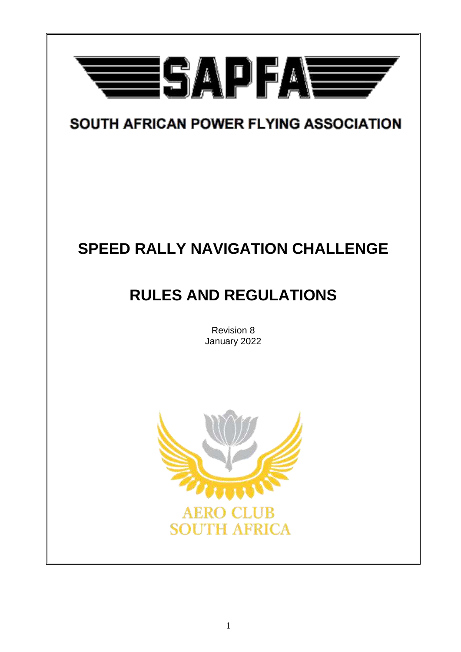

# SOUTH AFRICAN POWER FLYING ASSOCIATION

# **SPEED RALLY NAVIGATION CHALLENGE**

# **RULES AND REGULATIONS**

Revision 8 January 2022

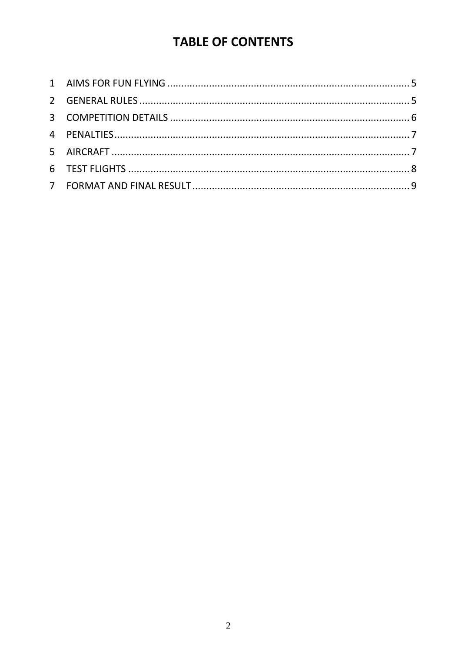## **TABLE OF CONTENTS**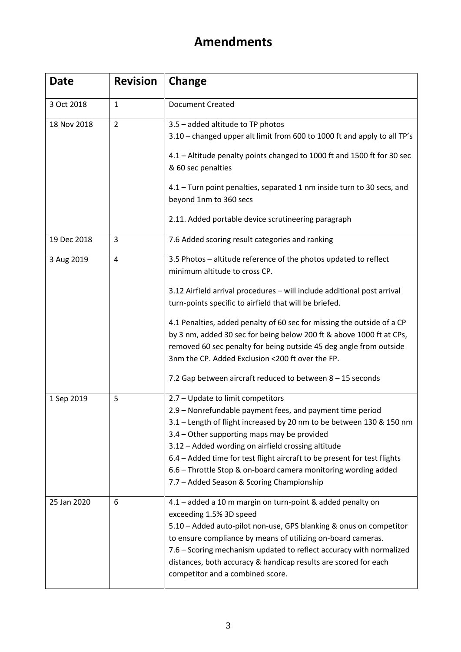## **Amendments**

| <b>Date</b> | <b>Revision</b> | Change                                                                                                                                                                                                                                                                                                                                                                                                                                                                                                                                                                             |
|-------------|-----------------|------------------------------------------------------------------------------------------------------------------------------------------------------------------------------------------------------------------------------------------------------------------------------------------------------------------------------------------------------------------------------------------------------------------------------------------------------------------------------------------------------------------------------------------------------------------------------------|
| 3 Oct 2018  | $\mathbf{1}$    | <b>Document Created</b>                                                                                                                                                                                                                                                                                                                                                                                                                                                                                                                                                            |
| 18 Nov 2018 | $\overline{2}$  | 3.5 - added altitude to TP photos<br>3.10 - changed upper alt limit from 600 to 1000 ft and apply to all TP's<br>4.1 - Altitude penalty points changed to 1000 ft and 1500 ft for 30 sec<br>& 60 sec penalties<br>4.1 - Turn point penalties, separated 1 nm inside turn to 30 secs, and<br>beyond 1nm to 360 secs<br>2.11. Added portable device scrutineering paragraph                                                                                                                                                                                                          |
| 19 Dec 2018 | 3               | 7.6 Added scoring result categories and ranking                                                                                                                                                                                                                                                                                                                                                                                                                                                                                                                                    |
| 3 Aug 2019  | 4               | 3.5 Photos - altitude reference of the photos updated to reflect<br>minimum altitude to cross CP.<br>3.12 Airfield arrival procedures - will include additional post arrival<br>turn-points specific to airfield that will be briefed.<br>4.1 Penalties, added penalty of 60 sec for missing the outside of a CP<br>by 3 nm, added 30 sec for being below 200 ft & above 1000 ft at CPs,<br>removed 60 sec penalty for being outside 45 deg angle from outside<br>3nm the CP. Added Exclusion <200 ft over the FP.<br>7.2 Gap between aircraft reduced to between $8 - 15$ seconds |
| 1 Sep 2019  | 5               | 2.7 - Update to limit competitors<br>2.9 - Nonrefundable payment fees, and payment time period<br>3.1 – Length of flight increased by 20 nm to be between 130 & 150 nm<br>3.4 - Other supporting maps may be provided<br>3.12 - Added wording on airfield crossing altitude<br>6.4 - Added time for test flight aircraft to be present for test flights<br>6.6 - Throttle Stop & on-board camera monitoring wording added<br>7.7 - Added Season & Scoring Championship                                                                                                             |
| 25 Jan 2020 | 6               | 4.1 - added a 10 m margin on turn-point & added penalty on<br>exceeding 1.5% 3D speed<br>5.10 - Added auto-pilot non-use, GPS blanking & onus on competitor<br>to ensure compliance by means of utilizing on-board cameras.<br>7.6 - Scoring mechanism updated to reflect accuracy with normalized<br>distances, both accuracy & handicap results are scored for each<br>competitor and a combined score.                                                                                                                                                                          |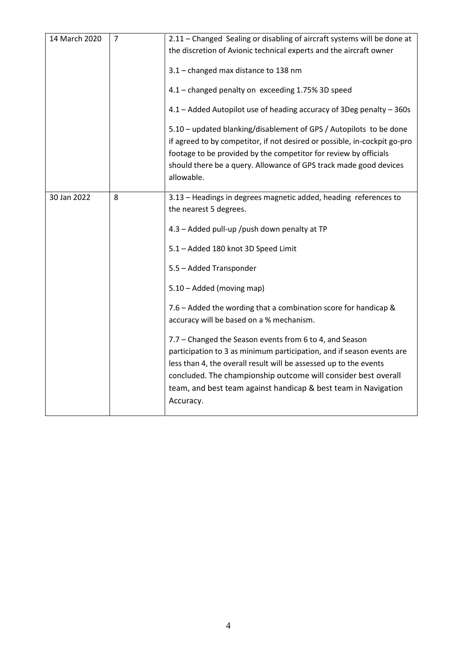| 14 March 2020 | $\overline{7}$ | 2.11 - Changed Sealing or disabling of aircraft systems will be done at                                                                                                                                                                                                 |
|---------------|----------------|-------------------------------------------------------------------------------------------------------------------------------------------------------------------------------------------------------------------------------------------------------------------------|
|               |                | the discretion of Avionic technical experts and the aircraft owner                                                                                                                                                                                                      |
|               |                | 3.1 - changed max distance to 138 nm                                                                                                                                                                                                                                    |
|               |                | 4.1 - changed penalty on exceeding 1.75% 3D speed                                                                                                                                                                                                                       |
|               |                | 4.1 - Added Autopilot use of heading accuracy of 3Deg penalty - 360s                                                                                                                                                                                                    |
|               |                | 5.10 - updated blanking/disablement of GPS / Autopilots to be done                                                                                                                                                                                                      |
|               |                | if agreed to by competitor, if not desired or possible, in-cockpit go-pro                                                                                                                                                                                               |
|               |                | footage to be provided by the competitor for review by officials                                                                                                                                                                                                        |
|               |                | should there be a query. Allowance of GPS track made good devices<br>allowable.                                                                                                                                                                                         |
| 30 Jan 2022   | 8              | 3.13 - Headings in degrees magnetic added, heading references to                                                                                                                                                                                                        |
|               |                | the nearest 5 degrees.                                                                                                                                                                                                                                                  |
|               |                | 4.3 - Added pull-up /push down penalty at TP                                                                                                                                                                                                                            |
|               |                | 5.1 - Added 180 knot 3D Speed Limit                                                                                                                                                                                                                                     |
|               |                | 5.5 - Added Transponder                                                                                                                                                                                                                                                 |
|               |                | 5.10 - Added (moving map)                                                                                                                                                                                                                                               |
|               |                | 7.6 - Added the wording that a combination score for handicap &<br>accuracy will be based on a % mechanism.                                                                                                                                                             |
|               |                | 7.7 - Changed the Season events from 6 to 4, and Season<br>participation to 3 as minimum participation, and if season events are<br>less than 4, the overall result will be assessed up to the events<br>concluded. The championship outcome will consider best overall |
|               |                | team, and best team against handicap & best team in Navigation<br>Accuracy.                                                                                                                                                                                             |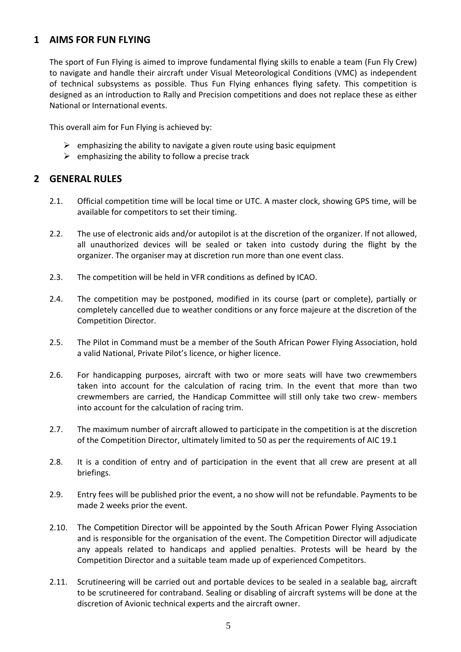### <span id="page-4-0"></span>**1 AIMS FOR FUN FLYING**

The sport of Fun Flying is aimed to improve fundamental flying skills to enable a team (Fun Fly Crew) to navigate and handle their aircraft under Visual Meteorological Conditions (VMC) as independent of technical subsystems as possible. Thus Fun Flying enhances flying safety. This competition is designed as an introduction to Rally and Precision competitions and does not replace these as either National or International events.

This overall aim for Fun Flying is achieved by:

- $\triangleright$  emphasizing the ability to navigate a given route using basic equipment
- $\triangleright$  emphasizing the ability to follow a precise track

#### <span id="page-4-1"></span>**2 GENERAL RULES**

- 2.1. Official competition time will be local time or UTC. A master clock, showing GPS time, will be available for competitors to set their timing.
- 2.2. The use of electronic aids and/or autopilot is at the discretion of the organizer. If not allowed, all unauthorized devices will be sealed or taken into custody during the flight by the organizer. The organiser may at discretion run more than one event class.
- 2.3. The competition will be held in VFR conditions as defined by ICAO.
- 2.4. The competition may be postponed, modified in its course (part or complete), partially or completely cancelled due to weather conditions or any force majeure at the discretion of the Competition Director.
- 2.5. The Pilot in Command must be a member of the South African Power Flying Association, hold a valid National, Private Pilot's licence, or higher licence.
- 2.6. For handicapping purposes, aircraft with two or more seats will have two crewmembers taken into account for the calculation of racing trim. In the event that more than two crewmembers are carried, the Handicap Committee will still only take two crew- members into account for the calculation of racing trim.
- 2.7. The maximum number of aircraft allowed to participate in the competition is at the discretion of the Competition Director, ultimately limited to 50 as per the requirements of AIC 19.1
- 2.8. It is a condition of entry and of participation in the event that all crew are present at all briefings.
- 2.9. Entry fees will be published prior the event, a no show will not be refundable. Payments to be made 2 weeks prior the event.
- 2.10. The Competition Director will be appointed by the South African Power Flying Association and is responsible for the organisation of the event. The Competition Director will adjudicate any appeals related to handicaps and applied penalties. Protests will be heard by the Competition Director and a suitable team made up of experienced Competitors.
- 2.11. Scrutineering will be carried out and portable devices to be sealed in a sealable bag, aircraft to be scrutineered for contraband. Sealing or disabling of aircraft systems will be done at the discretion of Avionic technical experts and the aircraft owner.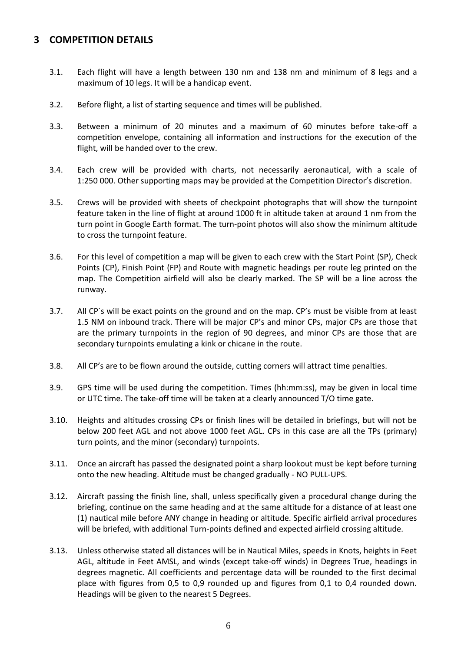#### <span id="page-5-0"></span>**3 COMPETITION DETAILS**

- 3.1. Each flight will have a length between 130 nm and 138 nm and minimum of 8 legs and a maximum of 10 legs. It will be a handicap event.
- 3.2. Before flight, a list of starting sequence and times will be published.
- 3.3. Between a minimum of 20 minutes and a maximum of 60 minutes before take-off a competition envelope, containing all information and instructions for the execution of the flight, will be handed over to the crew.
- 3.4. Each crew will be provided with charts, not necessarily aeronautical, with a scale of 1:250 000. Other supporting maps may be provided at the Competition Director's discretion.
- 3.5. Crews will be provided with sheets of checkpoint photographs that will show the turnpoint feature taken in the line of flight at around 1000 ft in altitude taken at around 1 nm from the turn point in Google Earth format. The turn-point photos will also show the minimum altitude to cross the turnpoint feature.
- 3.6. For this level of competition a map will be given to each crew with the Start Point (SP), Check Points (CP), Finish Point (FP) and Route with magnetic headings per route leg printed on the map. The Competition airfield will also be clearly marked. The SP will be a line across the runway.
- 3.7. All CP´s will be exact points on the ground and on the map. CP's must be visible from at least 1.5 NM on inbound track. There will be major CP's and minor CPs, major CPs are those that are the primary turnpoints in the region of 90 degrees, and minor CPs are those that are secondary turnpoints emulating a kink or chicane in the route.
- 3.8. All CP's are to be flown around the outside, cutting corners will attract time penalties.
- 3.9. GPS time will be used during the competition. Times (hh:mm:ss), may be given in local time or UTC time. The take-off time will be taken at a clearly announced T/O time gate.
- 3.10. Heights and altitudes crossing CPs or finish lines will be detailed in briefings, but will not be below 200 feet AGL and not above 1000 feet AGL. CPs in this case are all the TPs (primary) turn points, and the minor (secondary) turnpoints.
- 3.11. Once an aircraft has passed the designated point a sharp lookout must be kept before turning onto the new heading. Altitude must be changed gradually - NO PULL-UPS.
- 3.12. Aircraft passing the finish line, shall, unless specifically given a procedural change during the briefing, continue on the same heading and at the same altitude for a distance of at least one (1) nautical mile before ANY change in heading or altitude. Specific airfield arrival procedures will be briefed, with additional Turn-points defined and expected airfield crossing altitude.
- 3.13. Unless otherwise stated all distances will be in Nautical Miles, speeds in Knots, heights in Feet AGL, altitude in Feet AMSL, and winds (except take-off winds) in Degrees True, headings in degrees magnetic. All coefficients and percentage data will be rounded to the first decimal place with figures from 0,5 to 0,9 rounded up and figures from 0,1 to 0,4 rounded down. Headings will be given to the nearest 5 Degrees.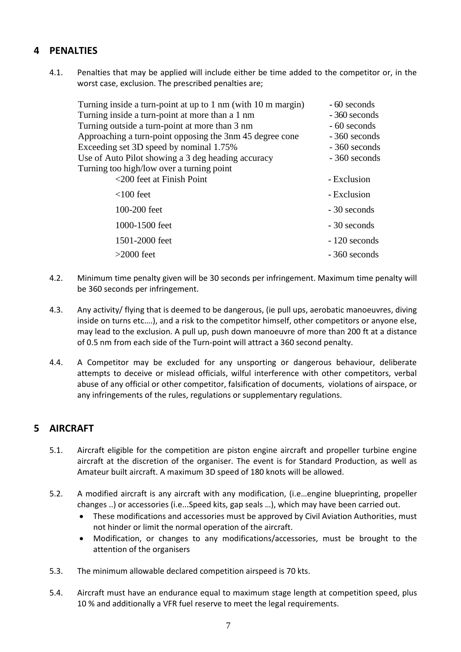## <span id="page-6-0"></span>**4 PENALTIES**

4.1. Penalties that may be applied will include either be time added to the competitor or, in the worst case, exclusion. The prescribed penalties are;

| Turning inside a turn-point at up to 1 nm (with 10 m margin) | - 60 seconds  |
|--------------------------------------------------------------|---------------|
| Turning inside a turn-point at more than a 1 nm              | - 360 seconds |
| Turning outside a turn-point at more than 3 nm               | - 60 seconds  |
| Approaching a turn-point opposing the 3nm 45 degree cone     | - 360 seconds |
| Exceeding set 3D speed by nominal 1.75%                      | - 360 seconds |
| Use of Auto Pilot showing a 3 deg heading accuracy           | - 360 seconds |
| Turning too high/low over a turning point                    |               |
| <200 feet at Finish Point                                    | - Exclusion   |
| $<$ 100 feet                                                 | - Exclusion   |
| 100-200 feet                                                 | - 30 seconds  |
| 1000-1500 feet                                               | - 30 seconds  |
| 1501-2000 feet                                               | - 120 seconds |
| $>2000$ feet                                                 | - 360 seconds |

- 4.2. Minimum time penalty given will be 30 seconds per infringement. Maximum time penalty will be 360 seconds per infringement.
- 4.3. Any activity/ flying that is deemed to be dangerous, (ie pull ups, aerobatic manoeuvres, diving inside on turns etc….), and a risk to the competitor himself, other competitors or anyone else, may lead to the exclusion. A pull up, push down manoeuvre of more than 200 ft at a distance of 0.5 nm from each side of the Turn-point will attract a 360 second penalty.
- 4.4. A Competitor may be excluded for any unsporting or dangerous behaviour, deliberate attempts to deceive or mislead officials, wilful interference with other competitors, verbal abuse of any official or other competitor, falsification of documents, violations of airspace, or any infringements of the rules, regulations or supplementary regulations.

### <span id="page-6-1"></span>**5 AIRCRAFT**

- 5.1. Aircraft eligible for the competition are piston engine aircraft and propeller turbine engine aircraft at the discretion of the organiser. The event is for Standard Production, as well as Amateur built aircraft. A maximum 3D speed of 180 knots will be allowed.
- 5.2. A modified aircraft is any aircraft with any modification, (i.e…engine blueprinting, propeller changes ..) or accessories (i.e...Speed kits, gap seals …), which may have been carried out.
	- These modifications and accessories must be approved by Civil Aviation Authorities, must not hinder or limit the normal operation of the aircraft.
	- Modification, or changes to any modifications/accessories, must be brought to the attention of the organisers
- 5.3. The minimum allowable declared competition airspeed is 70 kts.
- 5.4. Aircraft must have an endurance equal to maximum stage length at competition speed, plus 10 % and additionally a VFR fuel reserve to meet the legal requirements.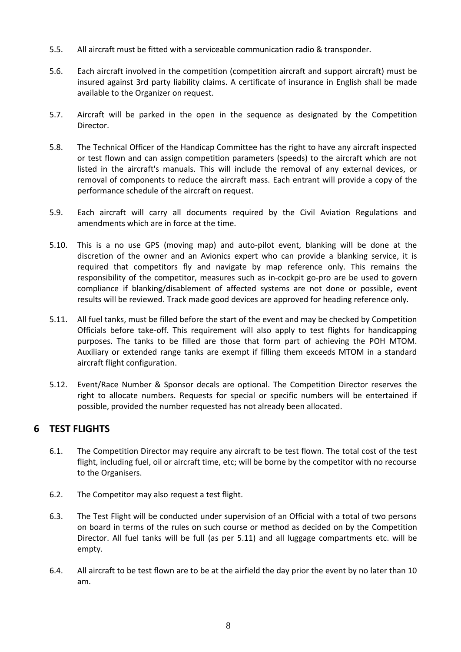- 5.5. All aircraft must be fitted with a serviceable communication radio & transponder.
- 5.6. Each aircraft involved in the competition (competition aircraft and support aircraft) must be insured against 3rd party liability claims. A certificate of insurance in English shall be made available to the Organizer on request.
- 5.7. Aircraft will be parked in the open in the sequence as designated by the Competition Director.
- 5.8. The Technical Officer of the Handicap Committee has the right to have any aircraft inspected or test flown and can assign competition parameters (speeds) to the aircraft which are not listed in the aircraft's manuals. This will include the removal of any external devices, or removal of components to reduce the aircraft mass. Each entrant will provide a copy of the performance schedule of the aircraft on request.
- 5.9. Each aircraft will carry all documents required by the Civil Aviation Regulations and amendments which are in force at the time.
- 5.10. This is a no use GPS (moving map) and auto-pilot event, blanking will be done at the discretion of the owner and an Avionics expert who can provide a blanking service, it is required that competitors fly and navigate by map reference only. This remains the responsibility of the competitor, measures such as in-cockpit go-pro are be used to govern compliance if blanking/disablement of affected systems are not done or possible, event results will be reviewed. Track made good devices are approved for heading reference only.
- 5.11. All fuel tanks, must be filled before the start of the event and may be checked by Competition Officials before take-off. This requirement will also apply to test flights for handicapping purposes. The tanks to be filled are those that form part of achieving the POH MTOM. Auxiliary or extended range tanks are exempt if filling them exceeds MTOM in a standard aircraft flight configuration.
- 5.12. Event/Race Number & Sponsor decals are optional. The Competition Director reserves the right to allocate numbers. Requests for special or specific numbers will be entertained if possible, provided the number requested has not already been allocated.

#### <span id="page-7-0"></span>**6 TEST FLIGHTS**

- 6.1. The Competition Director may require any aircraft to be test flown. The total cost of the test flight, including fuel, oil or aircraft time, etc; will be borne by the competitor with no recourse to the Organisers.
- 6.2. The Competitor may also request a test flight.
- 6.3. The Test Flight will be conducted under supervision of an Official with a total of two persons on board in terms of the rules on such course or method as decided on by the Competition Director. All fuel tanks will be full (as per 5.11) and all luggage compartments etc. will be empty.
- 6.4. All aircraft to be test flown are to be at the airfield the day prior the event by no later than 10 am.